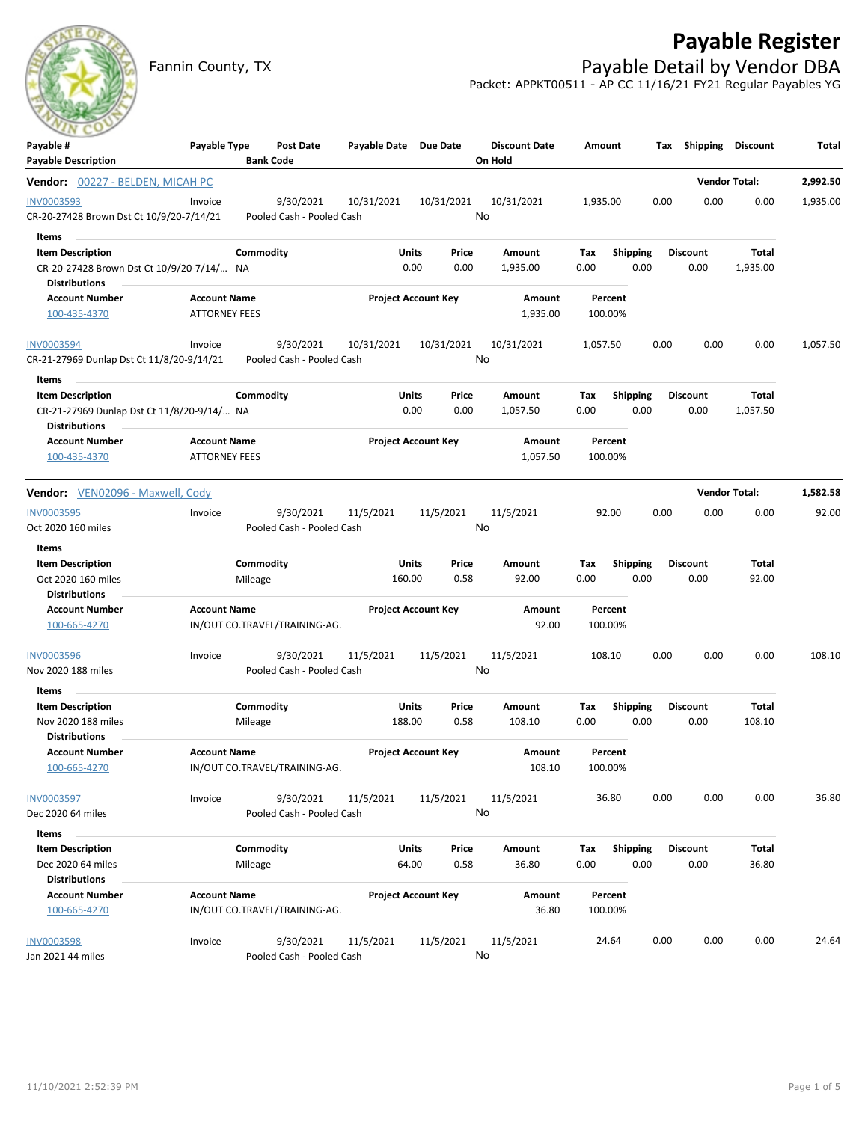## **Payable Register**

Fannin County, TX **Payable Detail by Vendor DBA** Packet: APPKT00511 - AP CC 11/16/21 FY21 Regular Payables YG

| Payable #<br><b>Payable Description</b>                                                       | Payable Type                                |                      | Post Date<br><b>Bank Code</b>          | Payable Date Due Date      |                 |                  | <b>Discount Date</b><br>On Hold | Amount             |                         |      | Tax Shipping            | <b>Discount</b>   | Total    |
|-----------------------------------------------------------------------------------------------|---------------------------------------------|----------------------|----------------------------------------|----------------------------|-----------------|------------------|---------------------------------|--------------------|-------------------------|------|-------------------------|-------------------|----------|
| Vendor: 00227 - BELDEN, MICAH PC                                                              |                                             |                      |                                        |                            |                 |                  |                                 |                    |                         |      | <b>Vendor Total:</b>    |                   | 2,992.50 |
| <b>INV0003593</b><br>CR-20-27428 Brown Dst Ct 10/9/20-7/14/21                                 | Invoice                                     |                      | 9/30/2021<br>Pooled Cash - Pooled Cash | 10/31/2021                 |                 | 10/31/2021<br>No | 10/31/2021                      | 1,935.00           |                         | 0.00 | 0.00                    | 0.00              | 1,935.00 |
| Items                                                                                         |                                             |                      |                                        |                            |                 |                  |                                 |                    |                         |      |                         |                   |          |
| <b>Item Description</b><br>CR-20-27428 Brown Dst Ct 10/9/20-7/14/ NA<br><b>Distributions</b>  |                                             | Commodity            |                                        |                            | Units<br>0.00   | Price<br>0.00    | Amount<br>1,935.00              | Tax<br>0.00        | Shipping<br>0.00        |      | <b>Discount</b><br>0.00 | Total<br>1,935.00 |          |
| <b>Account Number</b><br>100-435-4370                                                         | <b>Account Name</b><br><b>ATTORNEY FEES</b> |                      |                                        | <b>Project Account Key</b> |                 |                  | Amount<br>1,935.00              | Percent<br>100.00% |                         |      |                         |                   |          |
| <b>INV0003594</b><br>CR-21-27969 Dunlap Dst Ct 11/8/20-9/14/21                                | Invoice                                     |                      | 9/30/2021<br>Pooled Cash - Pooled Cash | 10/31/2021                 |                 | 10/31/2021<br>No | 10/31/2021                      | 1,057.50           |                         | 0.00 | 0.00                    | 0.00              | 1,057.50 |
| Items                                                                                         |                                             |                      |                                        |                            |                 |                  |                                 |                    |                         |      |                         |                   |          |
| <b>Item Description</b><br>CR-21-27969 Dunlap Dst Ct 11/8/20-9/14/ NA<br><b>Distributions</b> |                                             | Commodity            |                                        |                            | Units<br>0.00   | Price<br>0.00    | Amount<br>1,057.50              | Тах<br>0.00        | <b>Shipping</b><br>0.00 |      | <b>Discount</b><br>0.00 | Total<br>1,057.50 |          |
| <b>Account Number</b><br>100-435-4370                                                         | <b>Account Name</b><br><b>ATTORNEY FEES</b> |                      |                                        | <b>Project Account Key</b> |                 |                  | Amount<br>1,057.50              | Percent<br>100.00% |                         |      |                         |                   |          |
| <b>Vendor:</b> VEN02096 - Maxwell, Cody                                                       |                                             |                      |                                        |                            |                 |                  |                                 |                    |                         |      | <b>Vendor Total:</b>    |                   | 1,582.58 |
| <b>INV0003595</b>                                                                             | Invoice                                     |                      | 9/30/2021                              | 11/5/2021                  |                 | 11/5/2021        | 11/5/2021                       | 92.00              |                         | 0.00 | 0.00                    | 0.00              | 92.00    |
| Oct 2020 160 miles<br>Items                                                                   |                                             |                      | Pooled Cash - Pooled Cash              |                            |                 | No               |                                 |                    |                         |      |                         |                   |          |
| <b>Item Description</b><br>Oct 2020 160 miles<br><b>Distributions</b>                         |                                             | Commodity<br>Mileage |                                        |                            | Units<br>160.00 | Price<br>0.58    | Amount<br>92.00                 | Tax<br>0.00        | <b>Shipping</b><br>0.00 |      | <b>Discount</b><br>0.00 | Total<br>92.00    |          |
| <b>Account Number</b><br>100-665-4270                                                         | <b>Account Name</b>                         |                      | IN/OUT CO.TRAVEL/TRAINING-AG.          | <b>Project Account Key</b> |                 |                  | Amount<br>92.00                 | Percent<br>100.00% |                         |      |                         |                   |          |
| <b>INV0003596</b><br>Nov 2020 188 miles                                                       | Invoice                                     |                      | 9/30/2021<br>Pooled Cash - Pooled Cash | 11/5/2021                  |                 | 11/5/2021<br>No  | 11/5/2021                       | 108.10             |                         | 0.00 | 0.00                    | 0.00              | 108.10   |
| Items                                                                                         |                                             |                      |                                        |                            |                 |                  |                                 |                    |                         |      |                         |                   |          |
| <b>Item Description</b><br>Nov 2020 188 miles<br><b>Distributions</b>                         |                                             | Commodity<br>Mileage |                                        |                            | Units<br>188.00 | Price<br>0.58    | Amount<br>108.10                | Tax<br>0.00        | <b>Shipping</b><br>0.00 |      | <b>Discount</b><br>0.00 | Total<br>108.10   |          |
| <b>Account Number</b><br>100-665-4270                                                         | <b>Account Name</b>                         |                      | IN/OUT CO.TRAVEL/TRAINING-AG.          | <b>Project Account Key</b> |                 |                  | Amount<br>108.10                | Percent<br>100.00% |                         |      |                         |                   |          |
| <b>INV0003597</b><br>Dec 2020 64 miles                                                        | Invoice                                     |                      | 9/30/2021<br>Pooled Cash - Pooled Cash | 11/5/2021                  |                 | 11/5/2021<br>No  | 11/5/2021                       | 36.80              |                         | 0.00 | 0.00                    | 0.00              | 36.80    |
| Items                                                                                         |                                             |                      |                                        |                            |                 |                  |                                 |                    |                         |      |                         |                   |          |
| <b>Item Description</b><br>Dec 2020 64 miles<br><b>Distributions</b>                          |                                             | Commodity<br>Mileage |                                        |                            | Units<br>64.00  | Price<br>0.58    | Amount<br>36.80                 | Tax<br>0.00        | <b>Shipping</b><br>0.00 |      | <b>Discount</b><br>0.00 | Total<br>36.80    |          |
| <b>Account Number</b><br>100-665-4270                                                         | <b>Account Name</b>                         |                      | IN/OUT CO.TRAVEL/TRAINING-AG.          | <b>Project Account Key</b> |                 |                  | Amount<br>36.80                 | Percent<br>100.00% |                         |      |                         |                   |          |
| <b>INV0003598</b><br>Jan 2021 44 miles                                                        | Invoice                                     |                      | 9/30/2021<br>Pooled Cash - Pooled Cash | 11/5/2021                  |                 | 11/5/2021<br>No  | 11/5/2021                       | 24.64              |                         | 0.00 | 0.00                    | 0.00              | 24.64    |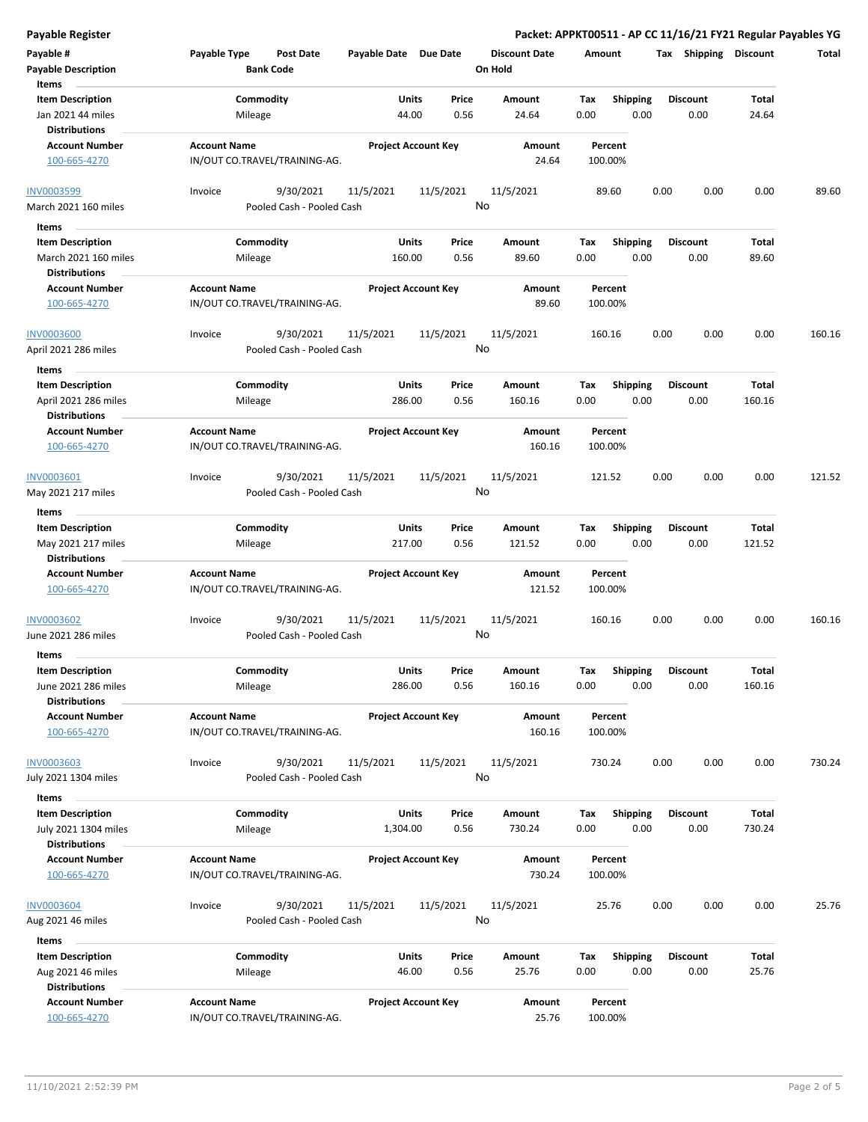| Payable #<br><b>Payable Description</b><br>Items                        | Payable Type<br><b>Post Date</b><br><b>Bank Code</b> | Payable Date Due Date      |                 | <b>Discount Date</b><br>On Hold | Amount             |                         | Shipping<br>Tax         | <b>Discount</b> | Total  |
|-------------------------------------------------------------------------|------------------------------------------------------|----------------------------|-----------------|---------------------------------|--------------------|-------------------------|-------------------------|-----------------|--------|
| <b>Item Description</b><br>Jan 2021 44 miles<br><b>Distributions</b>    | Commodity<br>Mileage                                 | Units<br>44.00             | Price<br>0.56   | Amount<br>24.64                 | Tax<br>0.00        | <b>Shipping</b><br>0.00 | <b>Discount</b><br>0.00 | Total<br>24.64  |        |
| <b>Account Number</b><br>100-665-4270                                   | <b>Account Name</b><br>IN/OUT CO.TRAVEL/TRAINING-AG. | <b>Project Account Key</b> |                 | Amount<br>24.64                 | Percent<br>100.00% |                         |                         |                 |        |
| <b>INV0003599</b><br>March 2021 160 miles                               | 9/30/2021<br>Invoice<br>Pooled Cash - Pooled Cash    | 11/5/2021                  | 11/5/2021<br>No | 11/5/2021                       | 89.60              |                         | 0.00<br>0.00            | 0.00            | 89.60  |
| Items                                                                   |                                                      |                            |                 |                                 |                    |                         |                         |                 |        |
| <b>Item Description</b><br>March 2021 160 miles<br><b>Distributions</b> | Commodity<br>Mileage                                 | Units<br>160.00            | Price<br>0.56   | Amount<br>89.60                 | Tax<br>0.00        | <b>Shipping</b><br>0.00 | <b>Discount</b><br>0.00 | Total<br>89.60  |        |
| <b>Account Number</b><br>100-665-4270                                   | <b>Account Name</b><br>IN/OUT CO.TRAVEL/TRAINING-AG. | <b>Project Account Key</b> |                 | Amount<br>89.60                 | Percent<br>100.00% |                         |                         |                 |        |
| <b>INV0003600</b><br>April 2021 286 miles                               | 9/30/2021<br>Invoice<br>Pooled Cash - Pooled Cash    | 11/5/2021                  | 11/5/2021<br>No | 11/5/2021                       | 160.16             |                         | 0.00<br>0.00            | 0.00            | 160.16 |
| Items<br><b>Item Description</b><br>April 2021 286 miles                | Commodity<br>Mileage                                 | Units<br>286.00            | Price<br>0.56   | Amount<br>160.16                | Tax<br>0.00        | <b>Shipping</b><br>0.00 | <b>Discount</b><br>0.00 | Total<br>160.16 |        |
| <b>Distributions</b><br><b>Account Number</b><br>100-665-4270           | <b>Account Name</b><br>IN/OUT CO.TRAVEL/TRAINING-AG. | <b>Project Account Key</b> |                 | Amount<br>160.16                | Percent<br>100.00% |                         |                         |                 |        |
| INV0003601<br>May 2021 217 miles                                        | 9/30/2021<br>Invoice<br>Pooled Cash - Pooled Cash    | 11/5/2021                  | 11/5/2021<br>No | 11/5/2021                       | 121.52             |                         | 0.00<br>0.00            | 0.00            | 121.52 |
| Items                                                                   |                                                      |                            |                 |                                 |                    |                         |                         |                 |        |
| <b>Item Description</b><br>May 2021 217 miles<br><b>Distributions</b>   | Commodity<br>Mileage                                 | <b>Units</b><br>217.00     | Price<br>0.56   | Amount<br>121.52                | Tax<br>0.00        | <b>Shipping</b><br>0.00 | <b>Discount</b><br>0.00 | Total<br>121.52 |        |
| <b>Account Number</b><br>100-665-4270                                   | <b>Account Name</b><br>IN/OUT CO.TRAVEL/TRAINING-AG. | <b>Project Account Key</b> |                 | Amount<br>121.52                | Percent<br>100.00% |                         |                         |                 |        |
| <b>INV0003602</b><br>June 2021 286 miles                                | 9/30/2021<br>Invoice<br>Pooled Cash - Pooled Cash    | 11/5/2021                  | 11/5/2021<br>No | 11/5/2021                       | 160.16             |                         | 0.00<br>0.00            | 0.00            | 160.16 |
| Items<br><b>Item Description</b><br>June 2021 286 miles                 | Commodity<br>Mileage                                 | Units<br>286.00            | Price<br>0.56   | Amount<br>160.16                | Тах<br>0.00        | <b>Shipping</b><br>0.00 | <b>Discount</b><br>0.00 | Total<br>160.16 |        |
| <b>Distributions</b><br><b>Account Number</b><br>100-665-4270           | <b>Account Name</b><br>IN/OUT CO.TRAVEL/TRAINING-AG. | <b>Project Account Key</b> |                 | Amount<br>160.16                | Percent<br>100.00% |                         |                         |                 |        |
| <b>INV0003603</b><br>July 2021 1304 miles                               | Invoice<br>9/30/2021<br>Pooled Cash - Pooled Cash    | 11/5/2021                  | 11/5/2021<br>No | 11/5/2021                       | 730.24             |                         | 0.00<br>0.00            | 0.00            | 730.24 |
| Items                                                                   |                                                      |                            |                 |                                 |                    |                         |                         |                 |        |
| <b>Item Description</b><br>July 2021 1304 miles<br><b>Distributions</b> | Commodity<br>Mileage                                 | Units<br>1,304.00          | Price<br>0.56   | Amount<br>730.24                | Tax<br>0.00        | Shipping<br>0.00        | <b>Discount</b><br>0.00 | Total<br>730.24 |        |
| <b>Account Number</b><br>100-665-4270                                   | <b>Account Name</b><br>IN/OUT CO.TRAVEL/TRAINING-AG. | <b>Project Account Key</b> |                 | Amount<br>730.24                | Percent<br>100.00% |                         |                         |                 |        |
| INV0003604<br>Aug 2021 46 miles                                         | 9/30/2021<br>Invoice<br>Pooled Cash - Pooled Cash    | 11/5/2021                  | 11/5/2021<br>No | 11/5/2021                       | 25.76              |                         | 0.00<br>0.00            | 0.00            | 25.76  |
| Items                                                                   |                                                      |                            |                 |                                 |                    |                         |                         |                 |        |
| <b>Item Description</b><br>Aug 2021 46 miles<br><b>Distributions</b>    | Commodity<br>Mileage                                 | Units<br>46.00             | Price<br>0.56   | Amount<br>25.76                 | Tax<br>0.00        | <b>Shipping</b><br>0.00 | Discount<br>0.00        | Total<br>25.76  |        |
| <b>Account Number</b><br>100-665-4270                                   | <b>Account Name</b><br>IN/OUT CO.TRAVEL/TRAINING-AG. | <b>Project Account Key</b> |                 | Amount<br>25.76                 | Percent<br>100.00% |                         |                         |                 |        |

**Payable Register Packet: APPKT00511 - AP CC 11/16/21 FY21 Regular Payables YG**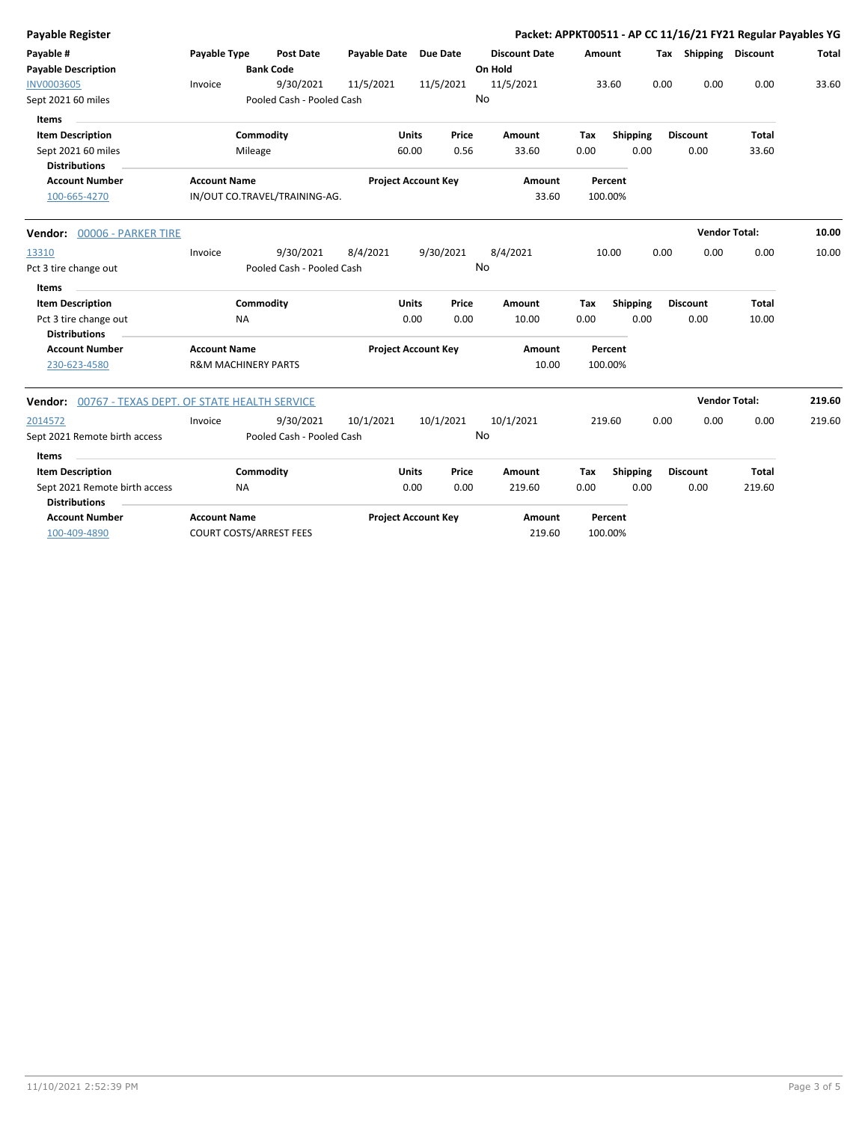| Payable Register                                    |                                |                                |                       |                            |           |                      |        |          |      |                       | Packet: APPKT00511 - AP CC 11/16/21 FY21 Regular Payables YG |        |
|-----------------------------------------------------|--------------------------------|--------------------------------|-----------------------|----------------------------|-----------|----------------------|--------|----------|------|-----------------------|--------------------------------------------------------------|--------|
| Payable #                                           | Payable Type                   | Post Date                      | Payable Date Due Date |                            |           | <b>Discount Date</b> | Amount |          |      | Tax Shipping Discount |                                                              | Total  |
| <b>Payable Description</b>                          |                                | <b>Bank Code</b>               |                       |                            |           | On Hold              |        |          |      |                       |                                                              |        |
| <b>INV0003605</b>                                   | Invoice                        | 9/30/2021                      | 11/5/2021             |                            | 11/5/2021 | 11/5/2021            |        | 33.60    | 0.00 | 0.00                  | 0.00                                                         | 33.60  |
| Sept 2021 60 miles                                  |                                | Pooled Cash - Pooled Cash      |                       |                            |           | No                   |        |          |      |                       |                                                              |        |
| Items                                               |                                |                                |                       |                            |           |                      |        |          |      |                       |                                                              |        |
| <b>Item Description</b>                             |                                | Commodity                      |                       | <b>Units</b>               | Price     | Amount               | Tax    | Shipping |      | <b>Discount</b>       | <b>Total</b>                                                 |        |
| Sept 2021 60 miles                                  |                                | Mileage                        |                       | 60.00                      | 0.56      | 33.60                | 0.00   | 0.00     |      | 0.00                  | 33.60                                                        |        |
| <b>Distributions</b>                                |                                |                                |                       |                            |           |                      |        |          |      |                       |                                                              |        |
| <b>Account Number</b>                               | <b>Account Name</b>            |                                |                       | <b>Project Account Key</b> |           | Amount               |        | Percent  |      |                       |                                                              |        |
| 100-665-4270                                        |                                | IN/OUT CO.TRAVEL/TRAINING-AG.  |                       |                            |           | 33.60                |        | 100.00%  |      |                       |                                                              |        |
| <b>Vendor: 00006 - PARKER TIRE</b>                  |                                |                                |                       |                            |           |                      |        |          |      | <b>Vendor Total:</b>  |                                                              | 10.00  |
| 13310                                               | Invoice                        | 9/30/2021                      | 8/4/2021              |                            | 9/30/2021 | 8/4/2021             |        | 10.00    | 0.00 | 0.00                  | 0.00                                                         | 10.00  |
| Pct 3 tire change out                               |                                | Pooled Cash - Pooled Cash      |                       |                            |           | No                   |        |          |      |                       |                                                              |        |
| Items                                               |                                |                                |                       |                            |           |                      |        |          |      |                       |                                                              |        |
| <b>Item Description</b>                             |                                | Commodity                      |                       | <b>Units</b>               | Price     | Amount               | Tax    | Shipping |      | <b>Discount</b>       | <b>Total</b>                                                 |        |
| Pct 3 tire change out                               | <b>NA</b>                      |                                |                       | 0.00                       | 0.00      | 10.00                | 0.00   | 0.00     |      | 0.00                  | 10.00                                                        |        |
| <b>Distributions</b>                                |                                |                                |                       |                            |           |                      |        |          |      |                       |                                                              |        |
| <b>Account Number</b>                               | <b>Account Name</b>            |                                |                       | <b>Project Account Key</b> |           | Amount               |        | Percent  |      |                       |                                                              |        |
| 230-623-4580                                        | <b>R&amp;M MACHINERY PARTS</b> |                                |                       |                            |           | 10.00                |        | 100.00%  |      |                       |                                                              |        |
| Vendor: 00767 - TEXAS DEPT. OF STATE HEALTH SERVICE |                                |                                |                       |                            |           |                      |        |          |      | <b>Vendor Total:</b>  |                                                              | 219.60 |
| 2014572                                             | Invoice                        | 9/30/2021                      | 10/1/2021             |                            | 10/1/2021 | 10/1/2021            | 219.60 |          | 0.00 | 0.00                  | 0.00                                                         | 219.60 |
| Sept 2021 Remote birth access                       |                                | Pooled Cash - Pooled Cash      |                       |                            |           | No                   |        |          |      |                       |                                                              |        |
| Items                                               |                                |                                |                       |                            |           |                      |        |          |      |                       |                                                              |        |
| <b>Item Description</b>                             |                                | Commodity                      |                       | <b>Units</b>               | Price     | Amount               | Tax    | Shipping |      | <b>Discount</b>       | <b>Total</b>                                                 |        |
| Sept 2021 Remote birth access                       | <b>NA</b>                      |                                |                       | 0.00                       | 0.00      | 219.60               | 0.00   | 0.00     |      | 0.00                  | 219.60                                                       |        |
| <b>Distributions</b>                                |                                |                                |                       |                            |           |                      |        |          |      |                       |                                                              |        |
| <b>Account Number</b>                               | <b>Account Name</b>            |                                |                       | <b>Project Account Key</b> |           | Amount               |        | Percent  |      |                       |                                                              |        |
| 100-409-4890                                        |                                | <b>COURT COSTS/ARREST FEES</b> |                       |                            |           | 219.60               |        | 100.00%  |      |                       |                                                              |        |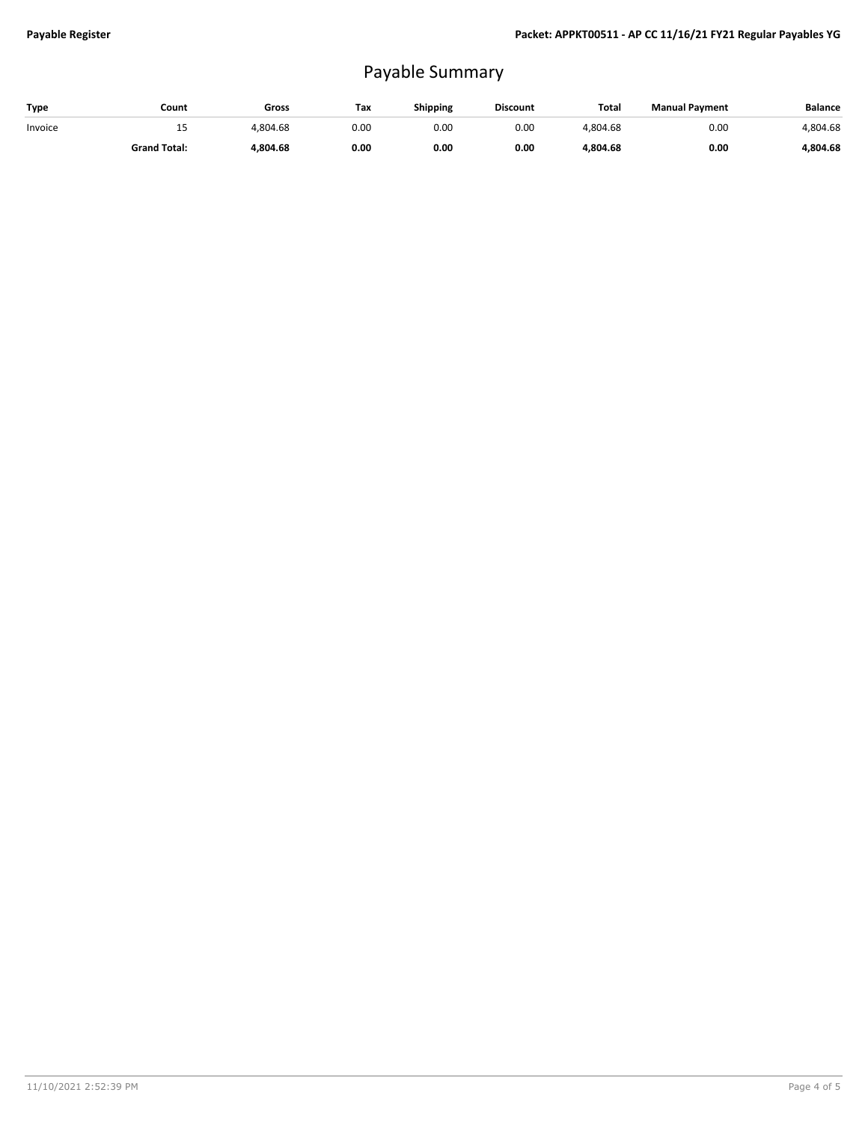## Payable Summary

| Type    | Count               | Gross    | Тах  | Shipping | <b>Discount</b> | Total    | <b>Manual Payment</b> | <b>Balance</b> |
|---------|---------------------|----------|------|----------|-----------------|----------|-----------------------|----------------|
| Invoice | --                  | 4.804.68 | 0.00 | 0.00     | 0.00            | 4.804.68 | 0.00                  | 4.804.68       |
|         | <b>Grand Total:</b> | 1.804.68 | 0.00 | 0.00     | 0.00            | 4.804.68 | 0.00                  | 4.804.68       |